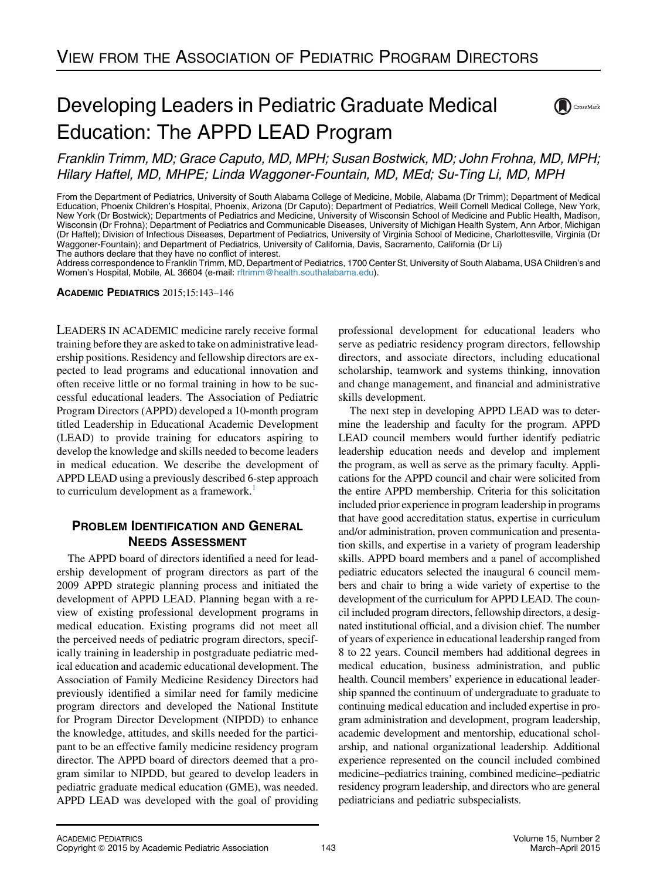## Developing Leaders in Pediatric Graduate Medical Education: The APPD LEAD Program



Franklin Trimm, MD; Grace Caputo, MD, MPH; Susan Bostwick, MD; John Frohna, MD, MPH; Hilary Haftel, MD, MHPE; Linda Waggoner-Fountain, MD, MEd; Su-Ting Li, MD, MPH

From the Department of Pediatrics, University of South Alabama College of Medicine, Mobile, Alabama (Dr Trimm); Department of Medical Education, Phoenix Children's Hospital, Phoenix, Arizona (Dr Caputo); Department of Pediatrics, Weill Cornell Medical College, New York, New York (Dr Bostwick); Departments of Pediatrics and Medicine, University of Wisconsin School of Medicine and Public Health, Madison, Wisconsin (Dr Frohna); Department of Pediatrics and Communicable Diseases, University of Michigan Health System, Ann Arbor, Michigan (Dr Haftel); Division of Infectious Diseases, Department of Pediatrics, University of Virginia School of Medicine, Charlottesville, Virginia (Dr Waggoner-Fountain); and Department of Pediatrics, University of California, Davis, Sacramento, California (Dr Li) The authors declare that they have no conflict of interest.

Address correspondence to Franklin Trimm, MD, Department of Pediatrics, 1700 Center St, University of South Alabama, USA Children's and Women's Hospital, Mobile, AL 36604 (e-mail: [rftrimm@health.southalabama.edu\)](mailto:rftrimm@health.southalabama.edu).

ACADEMIC PEDIATRICS 2015;15:143–146

LEADERS IN ACADEMIC medicine rarely receive formal training before they are asked to take on administrativeleadership positions. Residency and fellowship directors are expected to lead programs and educational innovation and often receive little or no formal training in how to be successful educational leaders. The Association of Pediatric Program Directors (APPD) developed a 10-month program titled Leadership in Educational Academic Development (LEAD) to provide training for educators aspiring to develop the knowledge and skills needed to become leaders in medical education. We describe the development of APPD LEAD using a previously described 6-step approach to curriculum development as a framework.<sup>1</sup>

### **PROBLEM IDENTIFICATION AND GENERAL NEEDS ASSESSMENT**

The APPD board of directors identified a need for leadership development of program directors as part of the 2009 APPD strategic planning process and initiated the development of APPD LEAD. Planning began with a review of existing professional development programs in medical education. Existing programs did not meet all the perceived needs of pediatric program directors, specifically training in leadership in postgraduate pediatric medical education and academic educational development. The Association of Family Medicine Residency Directors had previously identified a similar need for family medicine program directors and developed the National Institute for Program Director Development (NIPDD) to enhance the knowledge, attitudes, and skills needed for the participant to be an effective family medicine residency program director. The APPD board of directors deemed that a program similar to NIPDD, but geared to develop leaders in pediatric graduate medical education (GME), was needed. APPD LEAD was developed with the goal of providing

professional development for educational leaders who serve as pediatric residency program directors, fellowship directors, and associate directors, including educational scholarship, teamwork and systems thinking, innovation and change management, and financial and administrative skills development.

The next step in developing APPD LEAD was to determine the leadership and faculty for the program. APPD LEAD council members would further identify pediatric leadership education needs and develop and implement the program, as well as serve as the primary faculty. Applications for the APPD council and chair were solicited from the entire APPD membership. Criteria for this solicitation included prior experience in program leadership in programs that have good accreditation status, expertise in curriculum and/or administration, proven communication and presentation skills, and expertise in a variety of program leadership skills. APPD board members and a panel of accomplished pediatric educators selected the inaugural 6 council members and chair to bring a wide variety of expertise to the development of the curriculum for APPD LEAD. The council included program directors, fellowship directors, a designated institutional official, and a division chief. The number of years of experience in educational leadership ranged from 8 to 22 years. Council members had additional degrees in medical education, business administration, and public health. Council members' experience in educational leadership spanned the continuum of undergraduate to graduate to continuing medical education and included expertise in program administration and development, program leadership, academic development and mentorship, educational scholarship, and national organizational leadership. Additional experience represented on the council included combined medicine–pediatrics training, combined medicine–pediatric residency program leadership, and directors who are general pediatricians and pediatric subspecialists.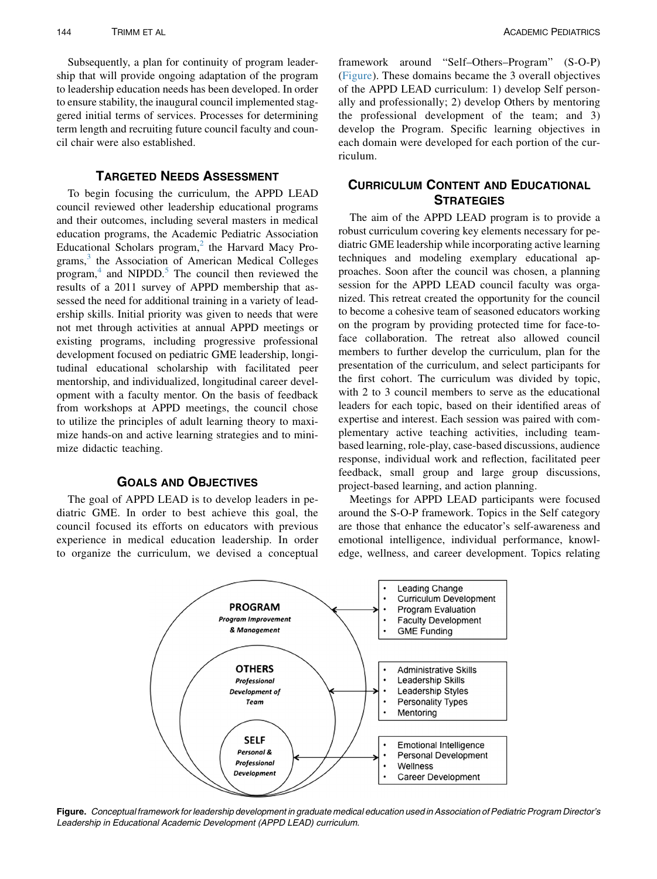Subsequently, a plan for continuity of program leadership that will provide ongoing adaptation of the program to leadership education needs has been developed. In order to ensure stability, the inaugural council implemented staggered initial terms of services. Processes for determining term length and recruiting future council faculty and council chair were also established.

### **TARGETED NEEDS ASSESSMENT**

To begin focusing the curriculum, the APPD LEAD council reviewed other leadership educational programs and their outcomes, including several masters in medical education programs, the Academic Pediatric Association Educational Scholars program, $2$  the Harvard Macy Pro- $grams<sub>3</sub><sup>3</sup>$  $grams<sub>3</sub><sup>3</sup>$  $grams<sub>3</sub><sup>3</sup>$  the Association of American Medical Colleges program, $4$  and NIPDD. $5$  The council then reviewed the results of a 2011 survey of APPD membership that assessed the need for additional training in a variety of leadership skills. Initial priority was given to needs that were not met through activities at annual APPD meetings or existing programs, including progressive professional development focused on pediatric GME leadership, longitudinal educational scholarship with facilitated peer mentorship, and individualized, longitudinal career development with a faculty mentor. On the basis of feedback from workshops at APPD meetings, the council chose to utilize the principles of adult learning theory to maximize hands-on and active learning strategies and to minimize didactic teaching.

### **GOALS AND OBJECTIVES**

The goal of APPD LEAD is to develop leaders in pediatric GME. In order to best achieve this goal, the council focused its efforts on educators with previous experience in medical education leadership. In order to organize the curriculum, we devised a conceptual

framework around "Self–Others–Program" (S-O-P) (Figure). These domains became the 3 overall objectives of the APPD LEAD curriculum: 1) develop Self personally and professionally; 2) develop Others by mentoring the professional development of the team; and 3) develop the Program. Specific learning objectives in each domain were developed for each portion of the curriculum.

# CURRICULUM CONTENT AND EDUCATIONAL

The aim of the APPD LEAD program is to provide a robust curriculum covering key elements necessary for pediatric GME leadership while incorporating active learning techniques and modeling exemplary educational approaches. Soon after the council was chosen, a planning session for the APPD LEAD council faculty was organized. This retreat created the opportunity for the council to become a cohesive team of seasoned educators working on the program by providing protected time for face-toface collaboration. The retreat also allowed council members to further develop the curriculum, plan for the presentation of the curriculum, and select participants for the first cohort. The curriculum was divided by topic, with 2 to 3 council members to serve as the educational leaders for each topic, based on their identified areas of expertise and interest. Each session was paired with complementary active teaching activities, including teambased learning, role-play, case-based discussions, audience response, individual work and reflection, facilitated peer feedback, small group and large group discussions, project-based learning, and action planning.

Meetings for APPD LEAD participants were focused around the S-O-P framework. Topics in the Self category are those that enhance the educator's self-awareness and emotional intelligence, individual performance, knowledge, wellness, and career development. Topics relating



Figure. Conceptual framework for leadership development in graduate medical education used in Association of Pediatric Program Director's Leadership in Educational Academic Development (APPD LEAD) curriculum.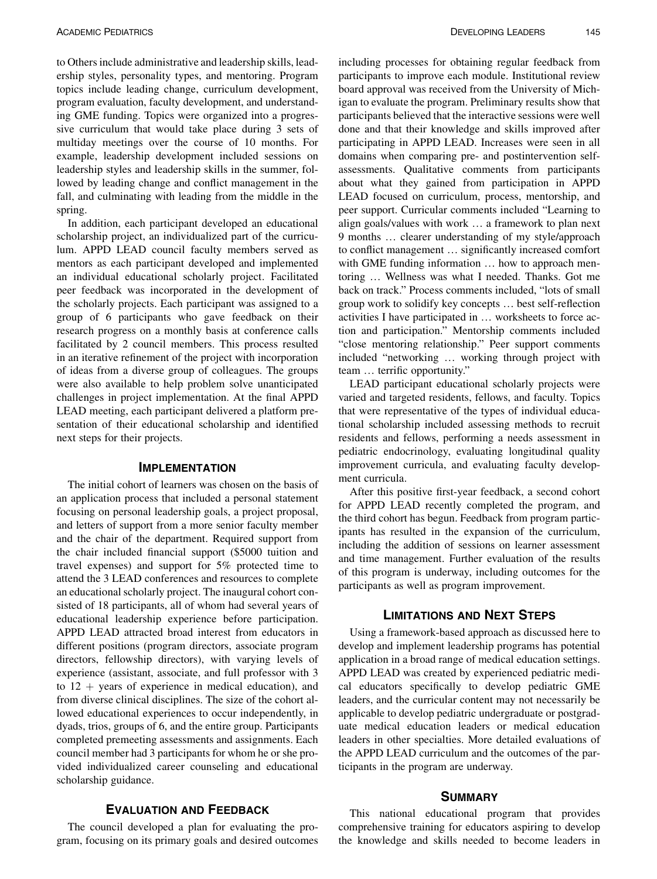to Others include administrative and leadership skills, leadership styles, personality types, and mentoring. Program topics include leading change, curriculum development, program evaluation, faculty development, and understanding GME funding. Topics were organized into a progressive curriculum that would take place during 3 sets of multiday meetings over the course of 10 months. For example, leadership development included sessions on leadership styles and leadership skills in the summer, followed by leading change and conflict management in the fall, and culminating with leading from the middle in the spring.

In addition, each participant developed an educational scholarship project, an individualized part of the curriculum. APPD LEAD council faculty members served as mentors as each participant developed and implemented an individual educational scholarly project. Facilitated peer feedback was incorporated in the development of the scholarly projects. Each participant was assigned to a group of 6 participants who gave feedback on their research progress on a monthly basis at conference calls facilitated by 2 council members. This process resulted in an iterative refinement of the project with incorporation of ideas from a diverse group of colleagues. The groups were also available to help problem solve unanticipated challenges in project implementation. At the final APPD LEAD meeting, each participant delivered a platform presentation of their educational scholarship and identified next steps for their projects.

The initial cohort of learners was chosen on the basis of an application process that included a personal statement focusing on personal leadership goals, a project proposal, and letters of support from a more senior faculty member and the chair of the department. Required support from the chair included financial support (\$5000 tuition and travel expenses) and support for 5% protected time to attend the 3 LEAD conferences and resources to complete an educational scholarly project. The inaugural cohort consisted of 18 participants, all of whom had several years of educational leadership experience before participation. APPD LEAD attracted broad interest from educators in different positions (program directors, associate program directors, fellowship directors), with varying levels of experience (assistant, associate, and full professor with 3 to  $12 + \text{years}$  of experience in medical education), and from diverse clinical disciplines. The size of the cohort allowed educational experiences to occur independently, in dyads, trios, groups of 6, and the entire group. Participants completed premeeting assessments and assignments. Each council member had 3 participants for whom he or she provided individualized career counseling and educational scholarship guidance.

### **EVALUATION AND FEEDBACK**

The council developed a plan for evaluating the program, focusing on its primary goals and desired outcomes

including processes for obtaining regular feedback from participants to improve each module. Institutional review board approval was received from the University of Michigan to evaluate the program. Preliminary results show that participants believed that the interactive sessions were well done and that their knowledge and skills improved after participating in APPD LEAD. Increases were seen in all domains when comparing pre- and postintervention selfassessments. Qualitative comments from participants about what they gained from participation in APPD LEAD focused on curriculum, process, mentorship, and peer support. Curricular comments included "Learning to align goals/values with work ... a framework to plan next 9 months ... clearer understanding of my style/approach to conflict management ... significantly increased comfort with GME funding information ... how to approach mentoring ... Wellness was what I needed. Thanks. Got me back on track." Process comments included, "lots of small group work to solidify key concepts ... best self-reflection activities I have participated in ... worksheets to force action and participation." Mentorship comments included "close mentoring relationship." Peer support comments included "networking ... working through project with team ... terrific opportunity."

LEAD participant educational scholarly projects were varied and targeted residents, fellows, and faculty. Topics that were representative of the types of individual educational scholarship included assessing methods to recruit residents and fellows, performing a needs assessment in pediatric endocrinology, evaluating longitudinal quality improvement curricula, and evaluating faculty development curricula.

After this positive first-year feedback, a second cohort for APPD LEAD recently completed the program, and the third cohort has begun. Feedback from program participants has resulted in the expansion of the curriculum, including the addition of sessions on learner assessment and time management. Further evaluation of the results of this program is underway, including outcomes for the participants as well as program improvement.

### **LIMITATIONS AND NEXT STEPS**

LIMITATIONS AND NEXT STEPS Using a framework-based approach as discussed here to develop and implement leadership programs has potential application in a broad range of medical education settings. APPD LEAD was created by experienced pediatric medical educators specifically to develop pediatric GME leaders, and the curricular content may not necessarily be applicable to develop pediatric undergraduate or postgraduate medical education leaders or medical education leaders in other specialties. More detailed evaluations of the APPD LEAD curriculum and the outcomes of the participants in the program are underway.

This national educational program that provides comprehensive training for educators aspiring to develop the knowledge and skills needed to become leaders in